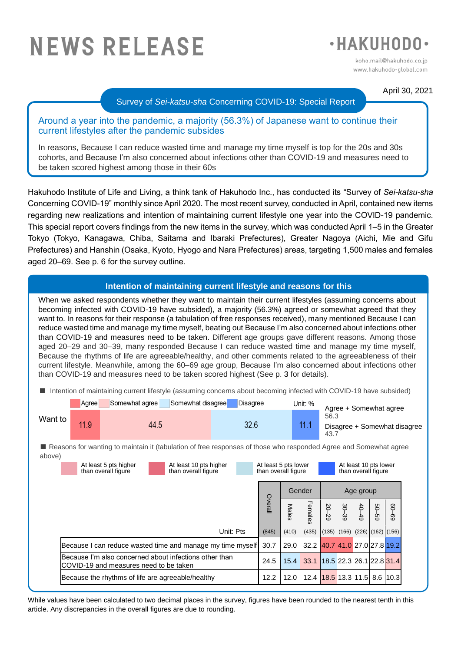# **NEWS RELEASE**



koho.mail@hakuhodo.co.jp www.hakuhodo-global.com

April 30, 2021

## Survey of *Sei-katsu-sha* Concerning COVID-19: Special Report

Around a year into the pandemic, a majority (56.3%) of Japanese want to continue their current lifestyles after the pandemic subsides

In reasons, Because I can reduce wasted time and manage my time myself is top for the 20s and 30s cohorts, and Because I'm also concerned about infections other than COVID-19 and measures need to be taken scored highest among those in their 60s

Hakuhodo Institute of Life and Living, a think tank of Hakuhodo Inc., has conducted its "Survey of *Sei-katsu-sha* Concerning COVID-19" monthly since April 2020. The most recent survey, conducted in April, contained new items regarding new realizations and intention of maintaining current lifestyle one year into the COVID-19 pandemic. This special report covers findings from the new items in the survey, which was conducted April 1–5 in the Greater Tokyo (Tokyo, Kanagawa, Chiba, Saitama and Ibaraki Prefectures), Greater Nagoya (Aichi, Mie and Gifu Prefectures) and Hanshin (Osaka, Kyoto, Hyogo and Nara Prefectures) areas, targeting 1,500 males and females aged 20–69. See p. 6 for the survey outline.

## **Intention of maintaining current lifestyle and reasons for this**

When we asked respondents whether they want to maintain their current lifestyles (assuming concerns about becoming infected with COVID-19 have subsided), a majority (56.3%) agreed or somewhat agreed that they want to. In reasons for their response (a tabulation of free responses received), many mentioned Because I can reduce wasted time and manage my time myself, beating out Because I'm also concerned about infections other than COVID-19 and measures need to be taken. Different age groups gave different reasons. Among those aged 20–29 and 30–39, many responded Because I can reduce wasted time and manage my time myself, Because the rhythms of life are agreeable/healthy, and other comments related to the agreeableness of their current lifestyle. Meanwhile, among the 60–69 age group, Because I'm also concerned about infections other than COVID-19 and measures need to be taken scored highest (See p. 3 for details).

■ Intention of maintaining current lifestyle (assuming concerns about becoming infected with COVID-19 have subsided)

|         | Agree                                                                                                              | Somewhat agree                                             |  | Somewhat disagree                             |           | Disagree |                                             |                            | Unit: %                       |                                                                        |                 |                                              |       |           |  |
|---------|--------------------------------------------------------------------------------------------------------------------|------------------------------------------------------------|--|-----------------------------------------------|-----------|----------|---------------------------------------------|----------------------------|-------------------------------|------------------------------------------------------------------------|-----------------|----------------------------------------------|-------|-----------|--|
| Want to | 11.9                                                                                                               | 44.5                                                       |  |                                               | 32.6      |          |                                             |                            | 11.1                          | Agree + Somewhat agree<br>56.3<br>Disagree + Somewhat disagree<br>43.7 |                 |                                              |       |           |  |
| above)  | ■ Reasons for wanting to maintain it (tabulation of free responses of those who responded Agree and Somewhat agree |                                                            |  |                                               |           |          |                                             |                            |                               |                                                                        |                 |                                              |       |           |  |
|         |                                                                                                                    | At least 5 pts higher<br>than overall figure               |  | At least 10 pts higher<br>than overall figure |           |          | At least 5 pts lower<br>than overall figure |                            |                               |                                                                        |                 | At least 10 pts lower<br>than overall figure |       |           |  |
|         |                                                                                                                    |                                                            |  |                                               |           |          |                                             |                            | Gender                        |                                                                        |                 | Age group                                    |       |           |  |
|         |                                                                                                                    |                                                            |  |                                               |           |          | Overall                                     | Males                      | Females                       | 20-29                                                                  | $30-$<br>ယ္ယ    | $40-$<br>$\frac{4}{9}$                       | 69-09 | $69 - 09$ |  |
|         |                                                                                                                    |                                                            |  |                                               | Unit: Pts |          | (845)                                       | (410)                      | (435)                         |                                                                        | $(135)$ $(166)$ | $(226)$ $(162)$ $(156)$                      |       |           |  |
|         |                                                                                                                    | Because I can reduce wasted time and manage my time myself |  |                                               |           |          | 30.7                                        | 29.0                       | 32.2 40.7 41.0 27.0 27.8 19.2 |                                                                        |                 |                                              |       |           |  |
|         | Because I'm also concerned about infections other than<br>COVID-19 and measures need to be taken                   |                                                            |  |                                               | 24.5      | 15.4     | 33.1                                        | $18.5$ 22.3 26.1 22.8 31.4 |                               |                                                                        |                 |                                              |       |           |  |
|         |                                                                                                                    | Because the rhythms of life are agreeable/healthy          |  |                                               |           |          | 12.2                                        | 12.0                       | 12.4   18.5   13.3   11.5     |                                                                        |                 |                                              |       | 8.6 10.3  |  |

While values have been calculated to two decimal places in the survey, figures have been rounded to the nearest tenth in this article. Any discrepancies in the overall figures are due to rounding.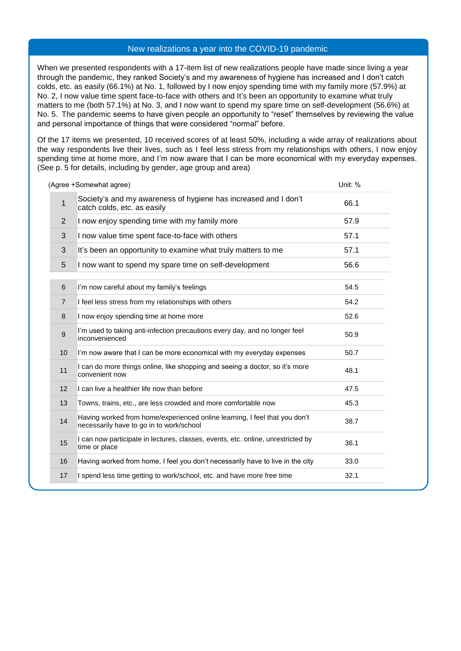#### New realizations a year into the COVID-19 pandemic

When we presented respondents with a 17-item list of new realizations people have made since living a year through the pandemic, they ranked Society's and my awareness of hygiene has increased and I don't catch colds, etc. as easily (66.1%) at No. 1, followed by I now enjoy spending time with my family more (57.9%) at No. 2, I now value time spent face-to-face with others and It's been an opportunity to examine what truly matters to me (both 57.1%) at No. 3, and I now want to spend my spare time on self-development (56.6%) at No. 5. The pandemic seems to have given people an opportunity to "reset" themselves by reviewing the value and personal importance of things that were considered "normal" before.

Of the 17 items we presented, 10 received scores of at least 50%, including a wide array of realizations about the way respondents live their lives, such as I feel less stress from my relationships with others, I now enjoy spending time at home more, and I'm now aware that I can be more economical with my everyday expenses. (See p. 5 for details, including by gender, age group and area)

|                  | (Agree +Somewhat agree)                                                                                                | Unit: % |
|------------------|------------------------------------------------------------------------------------------------------------------------|---------|
| 1                | Society's and my awareness of hygiene has increased and I don't<br>catch colds, etc. as easily                         | 66.1    |
| $\overline{2}$   | I now enjoy spending time with my family more                                                                          | 57.9    |
| 3                | I now value time spent face-to-face with others                                                                        | 57.1    |
| $\mathfrak{S}$   | It's been an opportunity to examine what truly matters to me                                                           | 57.1    |
| 5                | I now want to spend my spare time on self-development                                                                  | 56.6    |
| 6                | I'm now careful about my family's feelings                                                                             | 54.5    |
| $\overline{7}$   | I feel less stress from my relationships with others                                                                   | 54.2    |
| 8                | I now enjoy spending time at home more                                                                                 | 52.6    |
| $\boldsymbol{9}$ | I'm used to taking anti-infection precautions every day, and no longer feel<br>inconvenienced                          | 50.9    |
| 10               | I'm now aware that I can be more economical with my everyday expenses                                                  | 50.7    |
| 11               | I can do more things online, like shopping and seeing a doctor, so it's more<br>convenient now                         | 48.1    |
| 12               | I can live a healthier life now than before                                                                            | 47.5    |
| 13               | Towns, trains, etc., are less crowded and more comfortable now                                                         | 45.3    |
| 14               | Having worked from home/experienced online learning, I feel that you don't<br>necessarily have to go in to work/school | 38.7    |
| 15               | I can now participate in lectures, classes, events, etc. online, unrestricted by<br>time or place                      | 36.1    |
| 16               | Having worked from home, I feel you don't necessarily have to live in the city                                         | 33.0    |
| 17               | I spend less time getting to work/school, etc. and have more free time                                                 | 32.1    |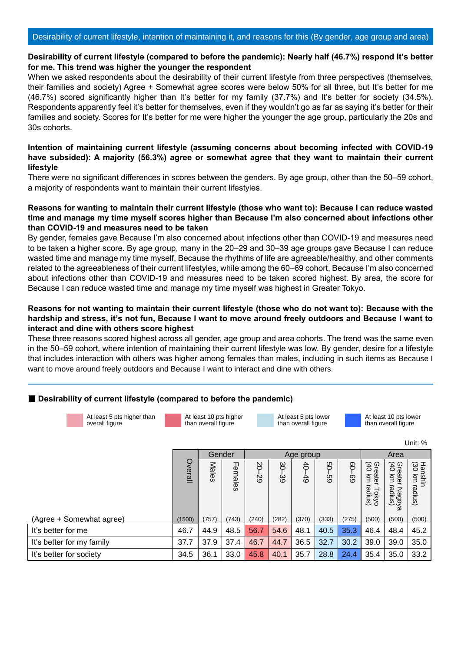#### **Desirability of current lifestyle (compared to before the pandemic): Nearly half (46.7%) respond It's better for me. This trend was higher the younger the respondent**

When we asked respondents about the desirability of their current lifestyle from three perspectives (themselves, their families and society) Agree + Somewhat agree scores were below 50% for all three, but It's better for me (46.7%) scored significantly higher than It's better for my family (37.7%) and It's better for society (34.5%). Respondents apparently feel it's better for themselves, even if they wouldn't go as far as saying it's better for their families and society. Scores for It's better for me were higher the younger the age group, particularly the 20s and 30s cohorts.

#### **Intention of maintaining current lifestyle (assuming concerns about becoming infected with COVID-19 have subsided): A majority (56.3%) agree or somewhat agree that they want to maintain their current lifestyle**

There were no significant differences in scores between the genders. By age group, other than the 50–59 cohort, a majority of respondents want to maintain their current lifestyles.

#### **Reasons for wanting to maintain their current lifestyle (those who want to): Because I can reduce wasted time and manage my time myself scores higher than Because I'm also concerned about infections other than COVID-19 and measures need to be taken**

By gender, females gave Because I'm also concerned about infections other than COVID-19 and measures need to be taken a higher score. By age group, many in the 20–29 and 30–39 age groups gave Because I can reduce wasted time and manage my time myself, Because the rhythms of life are agreeable/healthy, and other comments related to the agreeableness of their current lifestyles, while among the 60–69 cohort, Because I'm also concerned about infections other than COVID-19 and measures need to be taken scored highest. By area, the score for Because I can reduce wasted time and manage my time myself was highest in Greater Tokyo.

## **Reasons for not wanting to maintain their current lifestyle (those who do not want to): Because with the hardship and stress, it's not fun, Because I want to move around freely outdoors and Because I want to interact and dine with others score highest**

These three reasons scored highest across all gender, age group and area cohorts. The trend was the same even in the 50–59 cohort, where intention of maintaining their current lifestyle was low. By gender, desire for a lifestyle that includes interaction with others was higher among females than males, including in such items as Because I want to move around freely outdoors and Because I want to interact and dine with others.

#### ■ Desirability of current lifestyle (compared to before the pandemic)



At least 10 pts higher than overall figure

At least 5 pts lower than overall figure

At least 10 pts lower than overall figure

Unit: %

|                           |         |              | Gender       |          |           | Age group                   |         |          |                                       | Area                                                                   |                                                     |
|---------------------------|---------|--------------|--------------|----------|-----------|-----------------------------|---------|----------|---------------------------------------|------------------------------------------------------------------------|-----------------------------------------------------|
|                           | Overall | <b>Males</b> | ᆩ<br>ennales | 2O<br>89 | ပ္တ<br>ؽؿ | $\ddot{d}$<br>$\frac{4}{5}$ | 80<br>ġ | 80<br>89 | Ge<br>Ge<br>ă g<br>7 Tokyo<br>radius) | Gre<br>ater<br>$\widetilde{\exists}$<br>r Nagoy<br>radius)<br>$\omega$ | $\frac{1}{9}$ $\frac{1}{9}$<br>ξ<br>shin<br>(snipe) |
| (Agree + Somewhat agree)  | (1500)  | (757)        | (743)        | (240)    | (282)     | (370)                       | (333)   | (275)    | (500)                                 | (500)                                                                  | (500)                                               |
| It's better for me        | 46.7    | 44.9         | 48.5         | 56.7     | 54.6      | 48.1                        | 40.5    | 35.3     | 46.4                                  | 48.4                                                                   | 45.2                                                |
| It's better for my family | 37.7    | 37.9         | 37.4         | 46.7     | 44.7      | 36.5                        | 32.7    | 30.2     | 39.0                                  | 39.0                                                                   | 35.0                                                |
| It's better for society   | 34.5    | 36.1         | 33.0         | 45.8     | 40.1      | 35.7                        | 28.8    | 24.4     | 35.4                                  | 35.0                                                                   | 33.2                                                |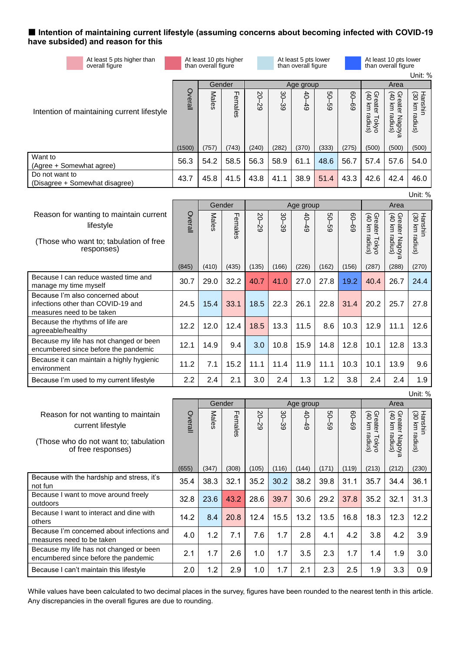## ■ Intention of maintaining current lifestyle (assuming concerns about becoming infected with COVID-19 **have subsided) and reason for this**

| At least 5 pts higher than<br>overall figure                                                                           |                | At least 10 pts higher<br>than overall figure |         |       |       | At least 5 pts lower<br>than overall figure |       |           |                                 | At least 10 pts lower<br>than overall figure | Unit: %                   |
|------------------------------------------------------------------------------------------------------------------------|----------------|-----------------------------------------------|---------|-------|-------|---------------------------------------------|-------|-----------|---------------------------------|----------------------------------------------|---------------------------|
|                                                                                                                        |                |                                               | Gender  |       |       | Age group                                   |       |           |                                 | Area                                         |                           |
| Intention of maintaining current lifestyle                                                                             | <b>Overall</b> | Males                                         | Females | SC-02 | 30-39 | $40 - 49$                                   | 69-09 | $69 - 09$ | Greater Tokyo<br>(40 km radius) | (40 km radius)<br>Greater<br>Nagoya          | Hanshin<br>(30 km radius) |
|                                                                                                                        | (1500)         | (757)                                         | (743)   | (240) | (282) | (370)                                       | (333) | (275)     | (500)                           | (500)                                        | (500)                     |
| Want to<br>(Agree + Somewhat agree)                                                                                    | 56.3           | 54.2                                          | 58.5    | 56.3  | 58.9  | 61.1                                        | 48.6  | 56.7      | 57.4                            | 57.6                                         | 54.0                      |
| Do not want to                                                                                                         | 43.7           | 45.8                                          | 41.5    | 43.8  | 41.1  | 38.9                                        | 51.4  | 43.3      | 42.6                            | 42.4                                         | 46.0                      |
| (Disagree + Somewhat disagree)                                                                                         |                |                                               |         |       |       |                                             |       |           |                                 |                                              |                           |
|                                                                                                                        |                |                                               |         |       |       |                                             |       |           |                                 |                                              | Unit: %                   |
| Reason for wanting to maintain current                                                                                 |                |                                               | Gender  |       |       | Age group                                   |       |           |                                 | Area                                         |                           |
| lifestyle<br>(Those who want to; tabulation of free<br>responses)                                                      | Overall        | Males                                         | Females | 20-29 | 30-39 | $60 - 49$                                   | 69-09 | $69 - 09$ | Greater Tokyo                   | (40 km radius)<br>Greater<br>Nagoya          | Hanshin<br>(30 km radius) |
|                                                                                                                        | (845)          | (410)                                         | (435)   | (135) | (166) | (226)                                       | (162) | (156)     | (287)                           | (288)                                        | (270)                     |
| Because I can reduce wasted time and<br>manage my time myself                                                          | 30.7           | 29.0                                          | 32.2    | 40.7  | 41.0  | 27.0                                        | 27.8  | 19.2      | 40.4                            | 26.7                                         | 24.4                      |
| Because I'm also concerned about<br>infections other than COVID-19 and<br>measures need to be taken                    | 24.5           | 15.4                                          | 33.1    | 18.5  | 22.3  | 26.1                                        | 22.8  | 31.4      | 20.2                            | 25.7                                         | 27.8                      |
| Because the rhythms of life are<br>agreeable/healthy                                                                   | 12.2           | 12.0                                          | 12.4    | 18.5  | 13.3  | 11.5                                        | 8.6   | 10.3      | 12.9                            | 11.1                                         | 12.6                      |
| Because my life has not changed or been<br>encumbered since before the pandemic                                        | 12.1           | 14.9                                          | 9.4     | 3.0   | 10.8  | 15.9                                        | 14.8  | 12.8      | 10.1                            | 12.8                                         | 13.3                      |
| Because it can maintain a highly hygienic<br>environment                                                               | 11.2           | 7.1                                           | 15.2    | 11.1  | 11.4  | 11.9                                        | 11.1  | 10.3      | 10.1                            | 13.9                                         | 9.6                       |
| Because I'm used to my current lifestyle                                                                               | 2.2            | 2.4                                           | 2.1     | 3.0   | 2.4   | 1.3                                         | 1.2   | 3.8       | 2.4                             | 2.4                                          | 1.9                       |
|                                                                                                                        |                |                                               |         |       |       |                                             |       |           |                                 |                                              | Unit: %                   |
|                                                                                                                        |                |                                               | Gender  |       |       | Age group                                   |       |           |                                 | Area                                         |                           |
| Reason for not wanting to maintain<br>current lifestyle<br>(Those who do not want to; tabulation<br>of free responses) | Overall        | <b>Males</b>                                  | Females | 20-29 | 30-39 | $6 + 0 + 6$                                 | 69-09 | $69 - 09$ | Greater Tokyo<br>(40 km radius) | Greater Nagoya<br>(40 km radius)             | Hanshin<br>(30 km radius) |
|                                                                                                                        | (655)          | (347)                                         | (308)   | (105) | (116) | (144)                                       | (171) | (119)     | (213)                           | (212)                                        | (230)                     |
| Because with the hardship and stress, it's<br>not fun                                                                  | 35.4           | 38.3                                          | 32.1    | 35.2  | 30.2  | 38.2                                        | 39.8  | 31.1      | 35.7                            | 34.4                                         | 36.1                      |
| Because I want to move around freely<br>outdoors                                                                       | 32.8           | 23.6                                          | 43.2    | 28.6  | 39.7  | 30.6                                        | 29.2  | 37.8      | 35.2                            | 32.1                                         | 31.3                      |
| Because I want to interact and dine with<br>others                                                                     | 14.2           | 8.4                                           | 20.8    | 12.4  | 15.5  | 13.2                                        | 13.5  | 16.8      | 18.3                            | 12.3                                         | 12.2                      |
| Because I'm concerned about infections and<br>measures need to be taken                                                | 4.0            | 1.2                                           | 7.1     | 7.6   | 1.7   | 2.8                                         | 4.1   | 4.2       | 3.8                             | 4.2                                          | 3.9                       |
| Because my life has not changed or been<br>encumbered since before the pandemic                                        | 2.1            | 1.7                                           | 2.6     | 1.0   | 1.7   | 3.5                                         | 2.3   | 1.7       | 1.4                             | 1.9                                          | 3.0                       |

While values have been calculated to two decimal places in the survey, figures have been rounded to the nearest tenth in this article. Any discrepancies in the overall figures are due to rounding.

Because I can't maintain this lifestyle | 2.0 | 1.2 | 2.9 | 1.0 | 1.7 | 2.1 | 2.3 | 2.5 | 1.9 | 3.3 | 0.9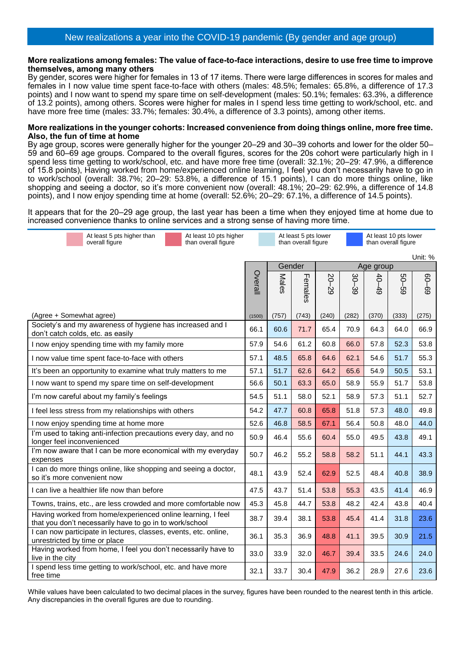#### **More realizations among females: The value of face-to-face interactions, desire to use free time to improve themselves, among many others**

By gender, scores were higher for females in 13 of 17 items. There were large differences in scores for males and females in I now value time spent face-to-face with others (males: 48.5%; females: 65.8%, a difference of 17.3 points) and I now want to spend my spare time on self-development (males: 50.1%; females: 63.3%, a difference of 13.2 points), among others. Scores were higher for males in I spend less time getting to work/school, etc. and have more free time (males: 33.7%; females: 30.4%, a difference of 3.3 points), among other items.

#### **More realizations in the younger cohorts: Increased convenience from doing things online, more free time. Also, the fun of time at home**

By age group, scores were generally higher for the younger 20–29 and 30–39 cohorts and lower for the older 50– 59 and 60–69 age groups. Compared to the overall figures, scores for the 20s cohort were particularly high in I spend less time getting to work/school, etc. and have more free time (overall: 32.1%; 20–29: 47.9%, a difference of 15.8 points), Having worked from home/experienced online learning, I feel you don't necessarily have to go in to work/school (overall: 38.7%; 20–29: 53.8%, a difference of 15.1 points), I can do more things online, like shopping and seeing a doctor, so it's more convenient now (overall: 48.1%; 20–29: 62.9%, a difference of 14.8 points), and I now enjoy spending time at home (overall: 52.6%; 20–29: 67.1%, a difference of 14.5 points).

It appears that for the 20–29 age group, the last year has been a time when they enjoyed time at home due to increased convenience thanks to online services and a strong sense of having more time.

| At least 5 pts higher than<br>At least 10 pts higher<br>than overall figure<br>overall figure                          |                |              | At least 5 pts lower<br>than overall figure |       |       |           | At least 10 pts lower<br>than overall figure |           |
|------------------------------------------------------------------------------------------------------------------------|----------------|--------------|---------------------------------------------|-------|-------|-----------|----------------------------------------------|-----------|
|                                                                                                                        |                |              |                                             |       |       |           |                                              | Unit: %   |
|                                                                                                                        |                |              | Gender                                      |       |       | Age group |                                              |           |
|                                                                                                                        | <b>Overall</b> | <b>Males</b> | Females                                     | 20-29 | 30-39 | 40-49     | 69-09                                        | $69 - 09$ |
| (Agree + Somewhat agree)                                                                                               | (1500)         | (757)        | (743)                                       | (240) | (282) | (370)     | (333)                                        | (275)     |
| Society's and my awareness of hygiene has increased and I<br>don't catch colds, etc. as easily                         | 66.1           | 60.6         | 71.7                                        | 65.4  | 70.9  | 64.3      | 64.0                                         | 66.9      |
| I now enjoy spending time with my family more                                                                          | 57.9           | 54.6         | 61.2                                        | 60.8  | 66.0  | 57.8      | 52.3                                         | 53.8      |
| I now value time spent face-to-face with others                                                                        | 57.1           | 48.5         | 65.8                                        | 64.6  | 62.1  | 54.6      | 51.7                                         | 55.3      |
| It's been an opportunity to examine what truly matters to me                                                           | 57.1           | 51.7         | 62.6                                        | 64.2  | 65.6  | 54.9      | 50.5                                         | 53.1      |
| I now want to spend my spare time on self-development                                                                  | 56.6           | 50.1         | 63.3                                        | 65.0  | 58.9  | 55.9      | 51.7                                         | 53.8      |
| I'm now careful about my family's feelings                                                                             | 54.5           | 51.1         | 58.0                                        | 52.1  | 58.9  | 57.3      | 51.1                                         | 52.7      |
| I feel less stress from my relationships with others                                                                   | 54.2           | 47.7         | 60.8                                        | 65.8  | 51.8  | 57.3      | 48.0                                         | 49.8      |
| I now enjoy spending time at home more                                                                                 | 52.6           | 46.8         | 58.5                                        | 67.1  | 56.4  | 50.8      | 48.0                                         | 44.0      |
| I'm used to taking anti-infection precautions every day, and no<br>longer feel inconvenienced                          | 50.9           | 46.4         | 55.6                                        | 60.4  | 55.0  | 49.5      | 43.8                                         | 49.1      |
| I'm now aware that I can be more economical with my everyday<br>expenses                                               | 50.7           | 46.2         | 55.2                                        | 58.8  | 58.2  | 51.1      | 44.1                                         | 43.3      |
| I can do more things online, like shopping and seeing a doctor,<br>so it's more convenient now                         | 48.1           | 43.9         | 52.4                                        | 62.9  | 52.5  | 48.4      | 40.8                                         | 38.9      |
| I can live a healthier life now than before                                                                            | 47.5           | 43.7         | 51.4                                        | 53.8  | 55.3  | 43.5      | 41.4                                         | 46.9      |
| Towns, trains, etc., are less crowded and more comfortable now                                                         | 45.3           | 45.8         | 44.7                                        | 53.8  | 48.2  | 42.4      | 43.8                                         | 40.4      |
| Having worked from home/experienced online learning, I feel<br>that you don't necessarily have to go in to work/school | 38.7           | 39.4         | 38.1                                        | 53.8  | 45.4  | 41.4      | 31.8                                         | 23.6      |
| I can now participate in lectures, classes, events, etc. online,<br>unrestricted by time or place                      | 36.1           | 35.3         | 36.9                                        | 48.8  | 41.1  | 39.5      | 30.9                                         | 21.5      |
| Having worked from home, I feel you don't necessarily have to<br>live in the city                                      | 33.0           | 33.9         | 32.0                                        | 46.7  | 39.4  | 33.5      | 24.6                                         | 24.0      |
| I spend less time getting to work/school, etc. and have more<br>free time                                              | 32.1           | 33.7         | 30.4                                        | 47.9  | 36.2  | 28.9      | 27.6                                         | 23.6      |

While values have been calculated to two decimal places in the survey, figures have been rounded to the nearest tenth in this article. Any discrepancies in the overall figures are due to rounding.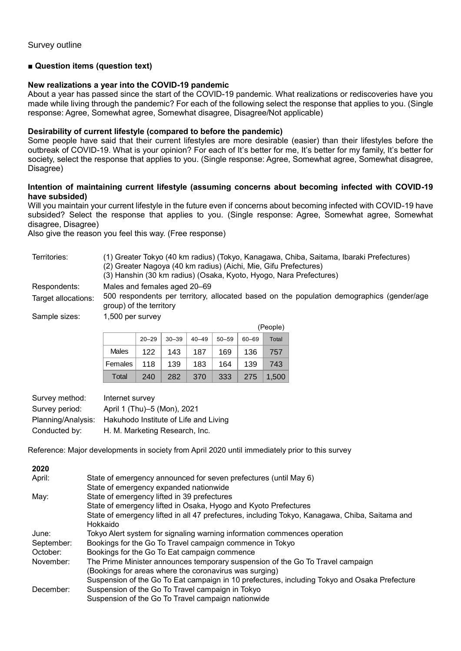#### **■ Question items (question text)**

# **New realizations a year into the COVID-19 pandemic**

About a year has passed since the start of the COVID-19 pandemic. What realizations or rediscoveries have you made while living through the pandemic? For each of the following select the response that applies to you. (Single response: Agree, Somewhat agree, Somewhat disagree, Disagree/Not applicable)

#### **Desirability of current lifestyle (compared to before the pandemic)**

Some people have said that their current lifestyles are more desirable (easier) than their lifestyles before the outbreak of COVID-19. What is your opinion? For each of It's better for me, It's better for my family, It's better for society, select the response that applies to you. (Single response: Agree, Somewhat agree, Somewhat disagree, Disagree)

#### **Intention of maintaining current lifestyle (assuming concerns about becoming infected with COVID-19 have subsided)**

Will you maintain your current lifestyle in the future even if concerns about becoming infected with COVID-19 have subsided? Select the response that applies to you. (Single response: Agree, Somewhat agree, Somewhat disagree, Disagree)

Also give the reason you feel this way. (Free response)

| Territories: | (1) Greater Tokyo (40 km radius) (Tokyo, Kanagawa, Chiba, Saitama, Ibaraki Prefectures) |  |  |  |  |
|--------------|-----------------------------------------------------------------------------------------|--|--|--|--|
|              | (2) Greater Nagoya (40 km radius) (Aichi, Mie, Gifu Prefectures)                        |  |  |  |  |
|              | (3) Hanshin (30 km radius) (Osaka, Kyoto, Hyogo, Nara Prefectures)                      |  |  |  |  |
| Respondents: | Males and females aged 20–69                                                            |  |  |  |  |
|              |                                                                                         |  |  |  |  |

Target allocations: 500 respondents per territory, allocated based on the population demographics (gender/age group) of the territory

Sample sizes: 1,500 per survey

|              |           |           |           |           |           | (People) |
|--------------|-----------|-----------|-----------|-----------|-----------|----------|
|              | $20 - 29$ | $30 - 39$ | $40 - 49$ | $50 - 59$ | $60 - 69$ | Total    |
| <b>Males</b> | 122       | 143       | 187       | 169       | 136       | 757      |
| Females      | 118       | 139       | 183       | 164       | 139       | 743      |
| Total        | 240       | 282       | 370       | 333       | 275       | 1,500    |

| Survey method:     | Internet survey                       |
|--------------------|---------------------------------------|
| Survey period:     | April 1 (Thu)-5 (Mon), 2021           |
| Planning/Analysis: | Hakuhodo Institute of Life and Living |
| Conducted by:      | H. M. Marketing Research, Inc.        |

Reference: Major developments in society from April 2020 until immediately prior to this survey

| 2020       |                                                                                                |
|------------|------------------------------------------------------------------------------------------------|
| April:     | State of emergency announced for seven prefectures (until May 6)                               |
|            | State of emergency expanded nationwide                                                         |
| May:       | State of emergency lifted in 39 prefectures                                                    |
|            | State of emergency lifted in Osaka, Hyogo and Kyoto Prefectures                                |
|            | State of emergency lifted in all 47 prefectures, including Tokyo, Kanagawa, Chiba, Saitama and |
|            | Hokkaido                                                                                       |
| June:      | Tokyo Alert system for signaling warning information commences operation                       |
| September: | Bookings for the Go To Travel campaign commence in Tokyo                                       |
| October:   | Bookings for the Go To Eat campaign commence                                                   |
| November:  | The Prime Minister announces temporary suspension of the Go To Travel campaign                 |
|            | (Bookings for areas where the coronavirus was surging)                                         |
|            | Suspension of the Go To Eat campaign in 10 prefectures, including Tokyo and Osaka Prefecture   |
| December:  | Suspension of the Go To Travel campaign in Tokyo                                               |
|            | Suspension of the Go To Travel campaign nationwide                                             |